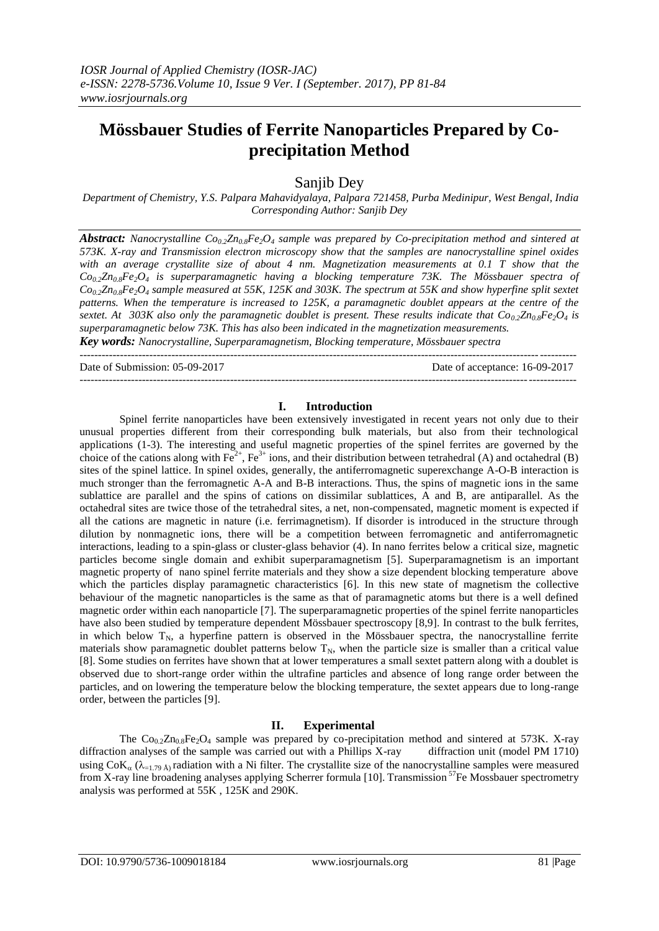# **Mössbauer Studies of Ferrite Nanoparticles Prepared by Coprecipitation Method**

Sanjib Dey

*Department of Chemistry, Y.S. Palpara Mahavidyalaya, Palpara 721458, Purba Medinipur, West Bengal, India Corresponding Author: Sanjib Dey*

*Abstract: Nanocrystalline Co0.2Zn0.8Fe2O<sup>4</sup> sample was prepared by Co-precipitation method and sintered at 573K. X-ray and Transmission electron microscopy show that the samples are nanocrystalline spinel oxides with an average crystallite size of about 4 nm. Magnetization measurements at 0.1 T show that the*   $Co<sub>0</sub>2<sup>Zn</sup><sub>0.8</sub>Fe<sub>2</sub>O<sub>4</sub>$  is superparamagnetic having a blocking temperature 73K. The Mössbauer spectra of *Co0.2Zn0.8Fe2O<sup>4</sup> sample measured at 55K, 125K and 303K. The spectrum at 55K and show hyperfine split sextet patterns. When the temperature is increased to 125K, a paramagnetic doublet appears at the centre of the sextet.* At 303K also only the paramagnetic doublet is present. These results indicate that  $Co_0Zn_0sFe_2O_4$  is *superparamagnetic below 73K. This has also been indicated in the magnetization measurements.*

*Key words: Nanocrystalline, Superparamagnetism, Blocking temperature, Mössbauer spectra* ---------------------------------------------------------------------------------------------------------------------------------------

Date of Submission: 05-09-2017 Date of acceptance: 16-09-2017 ---------------------------------------------------------------------------------------------------------------------------------------

### **I. Introduction**

Spinel ferrite nanoparticles have been extensively investigated in recent years not only due to their unusual properties different from their corresponding bulk materials, but also from their technological applications (1-3). The interesting and useful magnetic properties of the spinel ferrites are governed by the choice of the cations along with  $Fe^{2+}$ ,  $Fe^{3+}$  ions, and their distribution between tetrahedral (A) and octahedral (B) sites of the spinel lattice. In spinel oxides, generally, the antiferromagnetic superexchange A-O-B interaction is much stronger than the ferromagnetic A-A and B-B interactions. Thus, the spins of magnetic ions in the same sublattice are parallel and the spins of cations on dissimilar sublattices, A and B, are antiparallel. As the octahedral sites are twice those of the tetrahedral sites, a net, non-compensated, magnetic moment is expected if all the cations are magnetic in nature (i.e. ferrimagnetism). If disorder is introduced in the structure through dilution by nonmagnetic ions, there will be a competition between ferromagnetic and antiferromagnetic interactions, leading to a spin-glass or cluster-glass behavior (4). In nano ferrites below a critical size, magnetic particles become single domain and exhibit superparamagnetism [5]. Superparamagnetism is an important magnetic property of nano spinel ferrite materials and they show a size dependent blocking temperature above which the particles display paramagnetic characteristics [6]. In this new state of magnetism the collective behaviour of the magnetic nanoparticles is the same as that of paramagnetic atoms but there is a well defined magnetic order within each nanoparticle [7]. The superparamagnetic properties of the spinel ferrite nanoparticles have also been studied by temperature dependent Mössbauer spectroscopy [8,9]. In contrast to the bulk ferrites, in which below  $T_N$ , a hyperfine pattern is observed in the Mössbauer spectra, the nanocrystalline ferrite materials show paramagnetic doublet patterns below  $T_N$ , when the particle size is smaller than a critical value [8]. Some studies on ferrites have shown that at lower temperatures a small sextet pattern along with a doublet is observed due to short-range order within the ultrafine particles and absence of long range order between the particles, and on lowering the temperature below the blocking temperature, the sextet appears due to long-range order, between the particles [9].

## **II. Experimental**

The  $Co_{0.2}Zn_{0.8}Fe_2O_4$  sample was prepared by co-precipitation method and sintered at 573K. X-ray diffraction analyses of the sample was carried out with a Phillips X-ray diffraction unit (model PM 1710) using  $CoK_a$  ( $\lambda_{-1.79 \text{ Å}}$ ) radiation with a Ni filter. The crystallite size of the nanocrystalline samples were measured from X-ray line broadening analyses applying Scherrer formula [10]. Transmission <sup>57</sup>Fe Mossbauer spectrometry analysis was performed at 55K , 125K and 290K.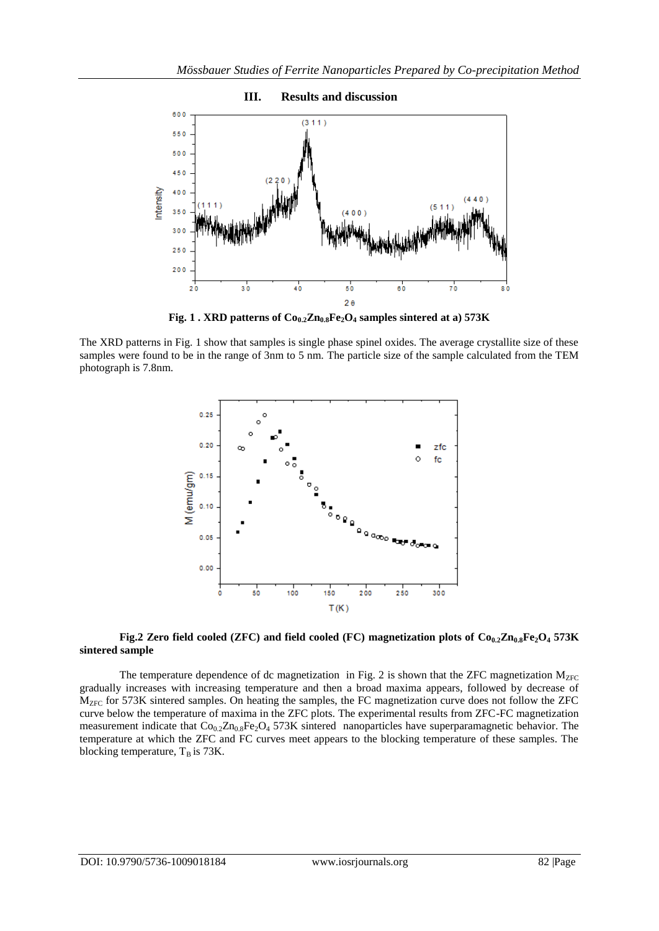

**Fig. 1 . XRD patterns of Co0.2Zn0.8Fe2O<sup>4</sup> samples sintered at a) 573K**

The XRD patterns in Fig. 1 show that samples is single phase spinel oxides. The average crystallite size of these samples were found to be in the range of 3nm to 5 nm. The particle size of the sample calculated from the TEM photograph is 7.8nm.



## **Fig.2 Zero field cooled (ZFC) and field cooled (FC) magnetization plots of**  $\text{C}_{0,2}\text{Zn}_0, \text{F}_{2}\text{O}_4$  **<b>573K sintered sample**

The temperature dependence of dc magnetization in Fig. 2 is shown that the ZFC magnetization  $M_{ZFC}$ gradually increases with increasing temperature and then a broad maxima appears, followed by decrease of M<sub>ZFC</sub> for 573K sintered samples. On heating the samples, the FC magnetization curve does not follow the ZFC curve below the temperature of maxima in the ZFC plots. The experimental results from ZFC-FC magnetization measurement indicate that  $Co_{0.2}Zn_{0.8}Fe_2O_4$  573K sintered nanoparticles have superparamagnetic behavior. The temperature at which the ZFC and FC curves meet appears to the blocking temperature of these samples. The blocking temperature,  $T_B$  is 73K.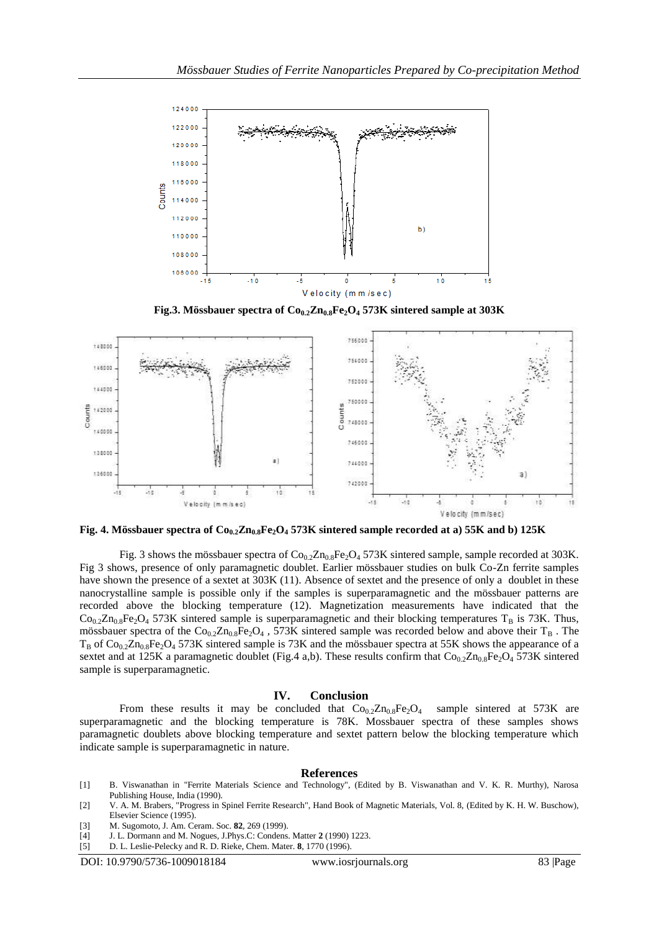

**Fig.3. Mössbauer spectra of Co0.2Zn0.8Fe2O<sup>4</sup> 573K sintered sample at 303K**



**Fig. 4. Mössbauer spectra of Co0.2Zn0.8Fe2O<sup>4</sup> 573K sintered sample recorded at a) 55K and b) 125K**

Fig. 3 shows the mössbauer spectra of  $Co_{0.2}Zn_{0.8}Fe_2O_4$  573K sintered sample, sample recorded at 303K. Fig 3 shows, presence of only paramagnetic doublet. Earlier mössbauer studies on bulk Co-Zn ferrite samples have shown the presence of a sextet at 303K (11). Absence of sextet and the presence of only a doublet in these nanocrystalline sample is possible only if the samples is superparamagnetic and the mössbauer patterns are recorded above the blocking temperature (12). Magnetization measurements have indicated that the  $Co_{0.2}Zn_{0.8}Fe_{2}O_{4}$  573K sintered sample is superparamagnetic and their blocking temperatures T<sub>B</sub> is 73K. Thus, mössbauer spectra of the  $Co_{0.2}Zn_{0.8}Fe_2O_4$ , 573K sintered sample was recorded below and above their T<sub>B</sub>. The  $T_B$  of Co<sub>0.2</sub>Zn<sub>0.8</sub>Fe<sub>2</sub>O<sub>4</sub> 573K sintered sample is 73K and the mössbauer spectra at 55K shows the appearance of a sextet and at 125K a paramagnetic doublet (Fig.4 a,b). These results confirm that  $Co_{0.2}Zn_{0.8}Fe_{2}O_{4}$  573K sintered sample is superparamagnetic.

#### **IV. Conclusion**

From these results it may be concluded that  $Co_{0.2}Zn_{0.8}Fe_2O_4$  sample sintered at 573K are superparamagnetic and the blocking temperature is 78K. Mossbauer spectra of these samples shows paramagnetic doublets above blocking temperature and sextet pattern below the blocking temperature which indicate sample is superparamagnetic in nature.

#### **References**

- [1] B. Viswanathan in "Ferrite Materials Science and Technology", (Edited by B. Viswanathan and V. K. R. Murthy), Narosa Publishing House, India (1990).
- [2] V. A. M. Brabers, "Progress in Spinel Ferrite Research", Hand Book of Magnetic Materials, Vol. 8, (Edited by K. H. W. Buschow), Elsevier Science (1995).
- [3] M. Sugomoto, J. Am. Ceram. Soc. **82**, 269 (1999).
- [4] J. L. Dormann and M. Nogues, J.Phys.C: Condens. Matter **2** (1990) 1223.
- [5] D. L. Leslie-Pelecky and R. D. Rieke, Chem. Mater. **8**, 1770 (1996).